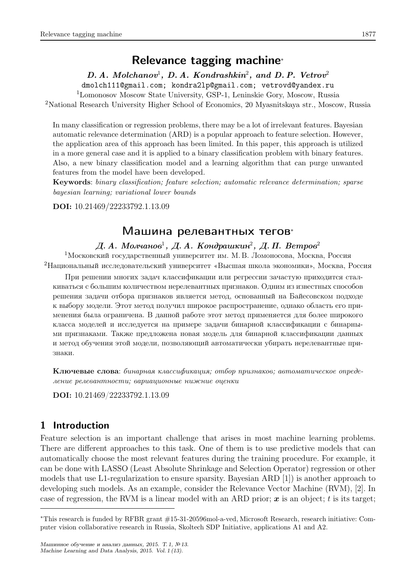# Relevance tagging machine<sup>∗</sup>

 $D. A. \; Molchanov<sup>1</sup>, D. A. \; Kondrashkin<sup>2</sup>, and D. P. \; Vetrov<sup>2</sup>$ 

dmolch111@gmail.com; kondra2lp@gmail.com; vetrovd@yandex.ru

<sup>1</sup>Lomonosov Moscow State University, GSP-1, Leninskie Gory, Moscow, Russia

<sup>2</sup>National Research University Higher School of Economics, 20 Myasnitskaya str., Moscow, Russia

In many classification or regression problems, there may be a lot of irrelevant features. Bayesian automatic relevance determination (ARD) is a popular approach to feature selection. However, the application area of this approach has been limited. In this paper, this approach is utilized in a more general case and it is applied to a binary classification problem with binary features. Also, a new binary classification model and a learning algorithm that can purge unwanted features from the model have been developed.

Keywords: binary classification; feature selection; automatic relevance determination; sparse bayesian learning; variational lower bounds

DOI: 10.21469/22233792.1.13.09

## Машина релевантных тегов<sup>∗</sup>

## Д. А. Молчанов $^1,\not\!\! A.$  Кондрашкин $^2,\not\!\! A.$  П. Ветров $^2$

<sup>1</sup>Московский государственный университет им. М. В. Ломоносова, Москва, Россия <sup>2</sup>Национальный исследовательский университет «Высшая школа экономики», Москва, Россия

При решении многих задач классификации или регрессии зачастую приходится сталкиваться с большим количеством нерелевантных признаков. Одним из известных способов решения задачи отбора признаков является метод, основанный на Байесовском подходе к выбору модели. Этот метод получил широкое распространение, однако область его применения была ограничена. В данной работе этот метод применяется для более широкого класса моделей и исследуется на примере задачи бинарной классификации с бинарными признаками. Также предложена новая модель для бинарной классификации данных и метод обучения этой модели, позволяющий автоматически убирать нерелевантные признаки.

Ключевые слова: бинарная классификация; отбор признаков; автоматическое определение релевантности; вариационные нижние оценки

DOI: 10.21469/22233792.1.13.09

## 1 Introduction

Feature selection is an important challenge that arises in most machine learning problems. There are different approaches to this task. One of them is to use predictive models that can automatically choose the most relevant features during the training procedure. For example, it can be done with LASSO (Least Absolute Shrinkage and Selection Operator) regression or other models that use L1-regularization to ensure sparsity. Bayesian ARD [1]) is another approach to developing such models. As an example, consider the Relevance Vector Machine (RVM), [2]. In case of regression, the RVM is a linear model with an ARD prior;  $\boldsymbol{x}$  is an object; t is its target;

<sup>∗</sup>This research is funded by RFBR grant #15-31-20596mol-a-ved, Microsoft Research, research initiative: Computer vision collaborative research in Russia, Skoltech SDP Initiative, applications A1 and A2.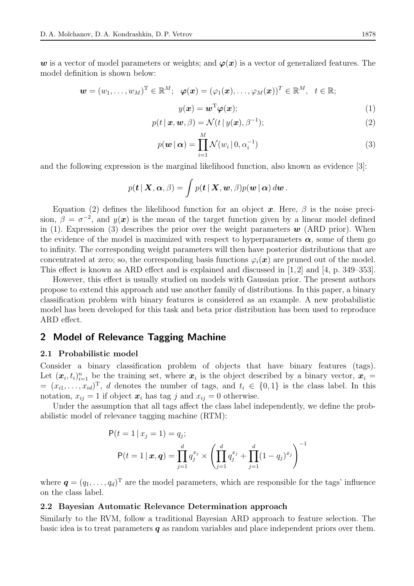w is a vector of model parameters or weights; and  $\varphi(x)$  is a vector of generalized features. The model definition is shown below:

$$
\boldsymbol{w}=(w_1,\ldots,w_M)^{\mathrm{T}}\in\mathbb{R}^M;\ \ \boldsymbol{\varphi}(\boldsymbol{x})=(\varphi_1(\boldsymbol{x}),\ldots,\varphi_M(\boldsymbol{x}))^{\mathrm{T}}\in\mathbb{R}^M,\ \ t\in\mathbb{R};
$$

$$
y(\boldsymbol{x}) = \boldsymbol{w}^{\mathrm{T}} \boldsymbol{\varphi}(\boldsymbol{x});\tag{1}
$$

$$
p(t \mid \boldsymbol{x}, \boldsymbol{w}, \beta) = \mathcal{N}(t \mid y(\boldsymbol{x}), \beta^{-1});
$$
\n(2)

$$
p(\boldsymbol{w} \mid \boldsymbol{\alpha}) = \prod_{i=1}^{M} \mathcal{N}(w_i \mid 0, \alpha_i^{-1})
$$
\n(3)

and the following expression is the marginal likelihood function, also known as evidence [3]:

$$
p(\boldsymbol{t} | \boldsymbol{X}, \boldsymbol{\alpha}, \beta) = \int p(\boldsymbol{t} | \boldsymbol{X}, \boldsymbol{w}, \beta) p(\boldsymbol{w} | \boldsymbol{\alpha}) d\boldsymbol{w}.
$$

Equation (2) defines the likelihood function for an object x. Here,  $\beta$  is the noise precision,  $\beta = \sigma^{-2}$ , and  $y(x)$  is the mean of the target function given by a linear model defined in (1). Expression (3) describes the prior over the weight parameters  $w$  (ARD prior). When the evidence of the model is maximized with respect to hyperparameters  $\alpha$ , some of them go to infinity. The corresponding weight parameters will then have posterior distributions that are concentrated at zero; so, the corresponding basis functions  $\varphi_i(x)$  are pruned out of the model. This effect is known as ARD effect and is explained and discussed in [1,2] and [4, p. 349–353].

However, this effect is usually studied on models with Gaussian prior. The present authors propose to extend this approach and use another family of distributions. In this paper, a binary classification problem with binary features is considered as an example. A new probabilistic model has been developed for this task and beta prior distribution has been used to reproduce ARD effect.

## 2 Model of Relevance Tagging Machine

### 2.1 Probabilistic model

Consider a binary classification problem of objects that have binary features (tags). Let  $(x_i, t_i)_{i=1}^n$  be the training set, where  $x_i$  is the object described by a binary vector,  $x_i =$  $=(x_{i1},\ldots,x_{id})^T$ , d denotes the number of tags, and  $t_i \in \{0,1\}$  is the class label. In this notation,  $x_{ij} = 1$  if object  $x_i$  has tag j and  $x_{ij} = 0$  otherwise.

Under the assumption that all tags affect the class label independently, we define the probabilistic model of relevance tagging machine (RTM):

$$
P(t = 1 | x_j = 1) = q_j;
$$
  
\n
$$
P(t = 1 | \mathbf{x}, \mathbf{q}) = \prod_{j=1}^{d} q_j^{x_j} \times \left( \prod_{j=1}^{d} q_j^{x_j} + \prod_{j=1}^{d} (1 - q_j)^{x_j} \right)^{-1}
$$

where  $\boldsymbol{q} = (q_1, \ldots, q_d)^T$  are the model parameters, which are responsible for the tags' influence on the class label.

#### 2.2 Bayesian Automatic Relevance Determination approach

Similarly to the RVM, follow a traditional Bayesian ARD approach to feature selection. The basic idea is to treat parameters  $q$  as random variables and place independent priors over them.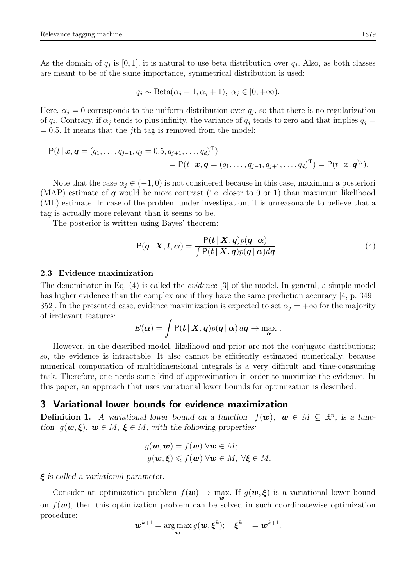As the domain of  $q_j$  is [0, 1], it is natural to use beta distribution over  $q_j$ . Also, as both classes are meant to be of the same importance, symmetrical distribution is used:

$$
q_j \sim \text{Beta}(\alpha_j + 1, \alpha_j + 1), \ \alpha_j \in [0, +\infty).
$$

Here,  $\alpha_j = 0$  corresponds to the uniform distribution over  $q_j$ , so that there is no regularization of  $q_j$ . Contrary, if  $\alpha_j$  tends to plus infinity, the variance of  $q_j$  tends to zero and that implies  $q_j =$  $= 0.5$ . It means that the *j*th tag is removed from the model:

$$
P(t | \mathbf{x}, \mathbf{q} = (q_1, ..., q_{j-1}, q_j = 0.5, q_{j+1}, ..., q_d)^{\mathrm{T}})
$$
  
= 
$$
P(t | \mathbf{x}, \mathbf{q} = (q_1, ..., q_{j-1}, q_{j+1}, ..., q_d)^{\mathrm{T}}) = P(t | \mathbf{x}, \mathbf{q}^{\backslash j}).
$$

Note that the case  $\alpha_i \in (-1, 0)$  is not considered because in this case, maximum a posteriori (MAP) estimate of  $q$  would be more contrast (i.e. closer to 0 or 1) than maximum likelihood (ML) estimate. In case of the problem under investigation, it is unreasonable to believe that a tag is actually more relevant than it seems to be.

The posterior is written using Bayes' theorem:

$$
P(q | X, t, \alpha) = \frac{P(t | X, q)p(q | \alpha)}{\int P(t | X, q)p(q | \alpha)dq}.
$$
\n(4)

#### 2.3 Evidence maximization

The denominator in Eq. (4) is called the evidence [3] of the model. In general, a simple model has higher evidence than the complex one if they have the same prediction accuracy [4, p. 349– 352]. In the presented case, evidence maximization is expected to set  $\alpha_j = +\infty$  for the majority of irrelevant features:

$$
E(\boldsymbol{\alpha}) = \int \mathsf{P}(\boldsymbol{t} \,|\, \boldsymbol{X}, \boldsymbol{q}) p(\boldsymbol{q} \,|\, \boldsymbol{\alpha}) \, d\boldsymbol{q} \to \max_{\boldsymbol{\alpha}}.
$$

However, in the described model, likelihood and prior are not the conjugate distributions; so, the evidence is intractable. It also cannot be efficiently estimated numerically, because numerical computation of multidimensional integrals is a very difficult and time-consuming task. Therefore, one needs some kind of approximation in order to maximize the evidence. In this paper, an approach that uses variational lower bounds for optimization is described.

## 3 Variational lower bounds for evidence maximization

**Definition 1.** A variational lower bound on a function  $f(\mathbf{w})$ ,  $\mathbf{w} \in M \subseteq \mathbb{R}^n$ , is a func*tion*  $g(\mathbf{w}, \boldsymbol{\xi})$ ,  $\mathbf{w} \in M$ ,  $\boldsymbol{\xi} \in M$ , with the following properties:

$$
g(\mathbf{w}, \mathbf{w}) = f(\mathbf{w}) \,\forall \mathbf{w} \in M; g(\mathbf{w}, \boldsymbol{\xi}) \leqslant f(\mathbf{w}) \,\forall \mathbf{w} \in M, \,\forall \boldsymbol{\xi} \in M,
$$

ξ *is called a variational parameter.*

Consider an optimization problem  $f(w) \to \max_w$ . If  $g(w, \xi)$  is a variational lower bound on  $f(\boldsymbol{w})$ , then this optimization problem can be solved in such coordinatewise optimization procedure:

$$
\boldsymbol{w}^{k+1} = \argmax_{\boldsymbol{w}} g(\boldsymbol{w}, \boldsymbol{\xi}^k); \quad \boldsymbol{\xi}^{k+1} = \boldsymbol{w}^{k+1}.
$$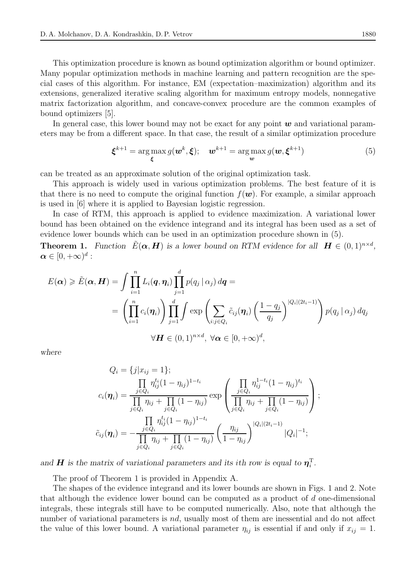This optimization procedure is known as bound optimization algorithm or bound optimizer. Many popular optimization methods in machine learning and pattern recognition are the special cases of this algorithm. For instance, EM (expectation–maximization) algorithm and its extensions, generalized iterative scaling algorithm for maximum entropy models, nonnegative matrix factorization algorithm, and concave-convex procedure are the common examples of bound optimizers [5].

In general case, this lower bound may not be exact for any point  $w$  and variational parameters may be from a different space. In that case, the result of a similar optimization procedure

$$
\boldsymbol{\xi}^{k+1} = \arg \max_{\boldsymbol{\xi}} g(\boldsymbol{w}^k, \boldsymbol{\xi}); \quad \boldsymbol{w}^{k+1} = \arg \max_{\boldsymbol{w}} g(\boldsymbol{w}, \boldsymbol{\xi}^{k+1})
$$
(5)

can be treated as an approximate solution of the original optimization task.

This approach is widely used in various optimization problems. The best feature of it is that there is no need to compute the original function  $f(\mathbf{w})$ . For example, a similar approach is used in [6] where it is applied to Bayesian logistic regression.

In case of RTM, this approach is applied to evidence maximization. A variational lower bound has been obtained on the evidence integrand and its integral has been used as a set of evidence lower bounds which can be used in an optimization procedure shown in (5).

**Theorem 1.** *Function*  $\tilde{E}(\boldsymbol{\alpha}, \boldsymbol{H})$  *is a lower bound on RTM evidence for all*  $\boldsymbol{H} \in (0, 1)^{n \times d}$ *,*  $\boldsymbol{\alpha} \in [0,+\infty)^d$  :

$$
E(\boldsymbol{\alpha}) \geqslant \tilde{E}(\boldsymbol{\alpha}, \boldsymbol{H}) = \int \prod_{i=1}^{n} L_i(\boldsymbol{q}, \boldsymbol{\eta}_i) \prod_{j=1}^{d} p(q_j | \alpha_j) d\boldsymbol{q} =
$$
  
= 
$$
\left( \prod_{i=1}^{n} c_i(\boldsymbol{\eta}_i) \right) \prod_{j=1}^{d} \int \exp \left( \sum_{i:j \in Q_i} \tilde{c}_{ij}(\boldsymbol{\eta}_i) \left( \frac{1 - q_j}{q_j} \right)^{|Q_i|(2t_i - 1)} \right) p(q_j | \alpha_j) dq_j
$$
  

$$
\forall \boldsymbol{H} \in (0, 1)^{n \times d}, \ \forall \boldsymbol{\alpha} \in [0, +\infty)^d,
$$

*where*

$$
Q_i = \{j | x_{ij} = 1\};
$$
  
\n
$$
c_i(\eta_i) = \frac{\prod_{j \in Q_i} \eta_{ij}^{t_i} (1 - \eta_{ij})^{1 - t_i}}{\prod_{j \in Q_i} \eta_{ij} + \prod_{j \in Q_i} (1 - \eta_{ij})} \exp\left(\frac{\prod_{j \in Q_i} \eta_{ij}^{1 - t_i} (1 - \eta_{ij})^{t_i}}{\prod_{j \in Q_i} \eta_{ij} + \prod_{j \in Q_i} (1 - \eta_{ij})}\right);
$$
  
\n
$$
\tilde{c}_{ij}(\eta_i) = -\frac{\prod_{j \in Q_i} \eta_{ij}^{t_i} (1 - \eta_{ij})^{1 - t_i}}{\prod_{j \in Q_i} \eta_{ij} + \prod_{j \in Q_i} (1 - \eta_{ij})} \left(\frac{\eta_{ij}}{1 - \eta_{ij}}\right)^{|Q_i|(2t_i - 1)} |Q_i|^{-1};
$$

*and H* is the matrix of variational parameters and its ith row is equal to  $\eta_i^T$ .

The proof of Theorem 1 is provided in Appendix A.

The shapes of the evidence integrand and its lower bounds are shown in Figs. 1 and 2. Note that although the evidence lower bound can be computed as a product of d one-dimensional integrals, these integrals still have to be computed numerically. Also, note that although the number of variational parameters is *nd*, usually most of them are inessential and do not affect the value of this lower bound. A variational parameter  $\eta_{ij}$  is essential if and only if  $x_{ij} = 1$ .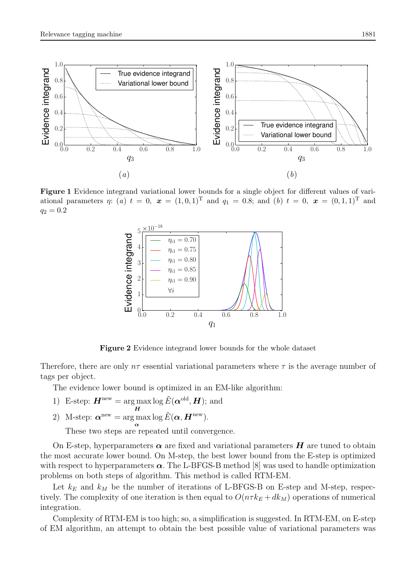

Figure 1 Evidence integrand variational lower bounds for a single object for different values of variational parameters  $\eta$ : (a)  $t = 0$ ,  $x = (1, 0, 1)^T$  and  $q_1 = 0.8$ ; and (b)  $t = 0$ ,  $x = (0, 1, 1)^T$  and  $q_2 = 0.2$ 



Figure 2 Evidence integrand lower bounds for the whole dataset

Therefore, there are only  $n\tau$  essential variational parameters where  $\tau$  is the average number of tags per object.

The evidence lower bound is optimized in an EM-like algorithm:

- 1) E-step:  $\boldsymbol{H}^{\text{new}} = \arg \max$ H  $\log \tilde{E}(\boldsymbol{\alpha}^{\text{old}}, \boldsymbol{H});$  and
- 2) M-step:  $\boldsymbol{\alpha}^{\text{new}} = \arg \max \log \tilde{E}(\boldsymbol{\alpha}, \boldsymbol{H}^{\text{new}}).$

α These two steps are repeated until convergence.

On E-step, hyperparameters  $\alpha$  are fixed and variational parameters  $H$  are tuned to obtain the most accurate lower bound. On M-step, the best lower bound from the E-step is optimized with respect to hyperparameters  $\alpha$ . The L-BFGS-B method [8] was used to handle optimization problems on both steps of algorithm. This method is called RTM-EM.

Let  $k_E$  and  $k_M$  be the number of iterations of L-BFGS-B on E-step and M-step, respectively. The complexity of one iteration is then equal to  $O(n \tau k_E + d k_M)$  operations of numerical integration.

Complexity of RTM-EM is too high; so, a simplification is suggested. In RTM-EM, on E-step of EM algorithm, an attempt to obtain the best possible value of variational parameters was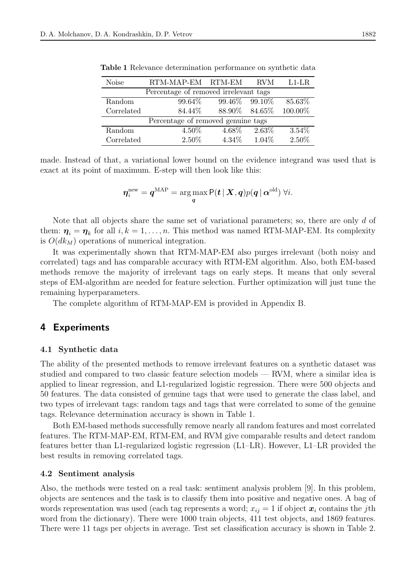| <b>Noise</b>                          | RTM-MAP-EM RTM-EM |                 | <b>RVM</b> | $L1-LR$ |
|---------------------------------------|-------------------|-----------------|------------|---------|
| Percentage of removed irrelevant tags |                   |                 |            |         |
| Random                                | 99.64%            | 99.46\% 99.10\% |            | 85.63%  |
| Correlated                            | 84.44%            | $88.90\%$       | $84.65\%$  | 100.00% |
| Percentage of removed genuine tags    |                   |                 |            |         |
| Random                                | 4.50%             | 4.68%           | 2.63%      | 3.54%   |
| Correlated                            | 2.50%             | $4.34\%$        | 1.04%      | 2.50%   |

Table 1 Relevance determination performance on synthetic data

made. Instead of that, a variational lower bound on the evidence integrand was used that is exact at its point of maximum. E-step will then look like this:

$$
\boldsymbol{\eta}^{\text{new}}_i = \boldsymbol{q}^{\text{MAP}} = \argmax_{\boldsymbol{q}} \mathsf{P}(\boldsymbol{t} \,|\, \boldsymbol{X}, \boldsymbol{q}) p(\boldsymbol{q} \,|\, \boldsymbol{\alpha}^{\text{old}}) \; \forall i.
$$

Note that all objects share the same set of variational parameters; so, there are only d of them:  $\eta_i = \eta_k$  for all  $i, k = 1, ..., n$ . This method was named RTM-MAP-EM. Its complexity is  $O(dk_M)$  operations of numerical integration.

It was experimentally shown that RTM-MAP-EM also purges irrelevant (both noisy and correlated) tags and has comparable accuracy with RTM-EM algorithm. Also, both EM-based methods remove the majority of irrelevant tags on early steps. It means that only several steps of EM-algorithm are needed for feature selection. Further optimization will just tune the remaining hyperparameters.

The complete algorithm of RTM-MAP-EM is provided in Appendix B.

## 4 Experiments

#### 4.1 Synthetic data

The ability of the presented methods to remove irrelevant features on a synthetic dataset was studied and compared to two classic feature selection models — RVM, where a similar idea is applied to linear regression, and L1-regularized logistic regression. There were 500 objects and 50 features. The data consisted of genuine tags that were used to generate the class label, and two types of irrelevant tags: random tags and tags that were correlated to some of the genuine tags. Relevance determination accuracy is shown in Table 1.

Both EM-based methods successfully remove nearly all random features and most correlated features. The RTM-MAP-EM, RTM-EM, and RVM give comparable results and detect random features better than L1-regularized logistic regression (L1–LR). However, L1–LR provided the best results in removing correlated tags.

#### 4.2 Sentiment analysis

Also, the methods were tested on a real task: sentiment analysis problem [9]. In this problem, objects are sentences and the task is to classify them into positive and negative ones. A bag of words representation was used (each tag represents a word;  $x_{ij} = 1$  if object  $\boldsymbol{x}_i$  contains the jth word from the dictionary). There were 1000 train objects, 411 test objects, and 1869 features. There were 11 tags per objects in average. Test set classification accuracy is shown in Table 2.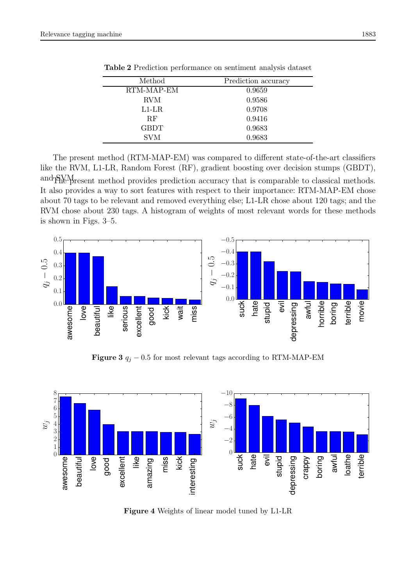| Method      | Prediction accuracy |  |
|-------------|---------------------|--|
| RTM-MAP-EM  | 0.9659              |  |
| <b>RVM</b>  | 0.9586              |  |
| $L1-LR$     | 0.9708              |  |
| RF          | 0.9416              |  |
| <b>GBDT</b> | 0.9683              |  |
| <b>SVM</b>  | 0.9683              |  |
|             |                     |  |

Table 2 Prediction performance on sentiment analysis dataset

The present method (RTM-MAP-EM) was compared to different state-of-the-art classifiers like the RVM, L1-LR, Random Forest (RF), gradient boosting over decision stumps (GBDT), and SMM resent method provides prediction accuracy that is comparable to classical methods. It also provides a way to sort features with respect to their importance: RTM-MAP-EM chose about 70 tags to be relevant and removed everything else; L1-LR chose about 120 tags; and the RVM chose about 230 tags. A histogram of weights of most relevant words for these methods is shown in Figs. 3–5.



Figure 3  $q_j$  – 0.5 for most relevant tags according to RTM-MAP-EM



Figure 4 Weights of linear model tuned by L1-LR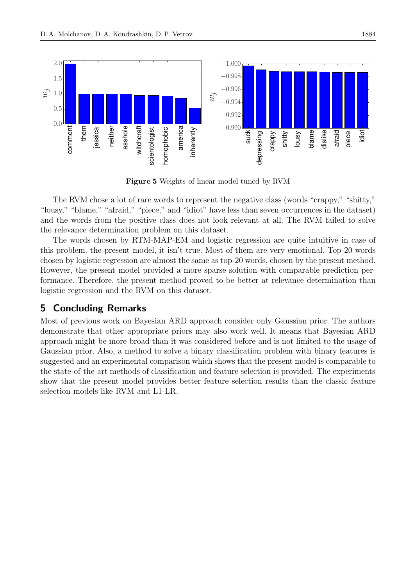

Figure 5 Weights of linear model tuned by RVM

The RVM chose a lot of rare words to represent the negative class (words "crappy," "shitty," "lousy," "blame," "afraid," "piece," and "idiot" have less than seven occurrences in the dataset) and the words from the positive class does not look relevant at all. The RVM failed to solve the relevance determination problem on this dataset.

The words chosen by RTM-MAP-EM and logistic regression are quite intuitive in case of this problem. the present model, it isn't true. Most of them are very emotional. Top-20 words chosen by logistic regression are almost the same as top-20 words, chosen by the present method. However, the present model provided a more sparse solution with comparable prediction performance. Therefore, the present method proved to be better at relevance determination than logistic regression and the RVM on this dataset.

## 5 Concluding Remarks

Most of previous work on Bayesian ARD approach consider only Gaussian prior. The authors demonstrate that other appropriate priors may also work well. It means that Bayesian ARD approach might be more broad than it was considered before and is not limited to the usage of Gaussian prior. Also, a method to solve a binary classification problem with binary features is suggested and an experimental comparison which shows that the present model is comparable to the state-of-the-art methods of classification and feature selection is provided. The experiments show that the present model provides better feature selection results than the classic feature selection models like RVM and L1-LR.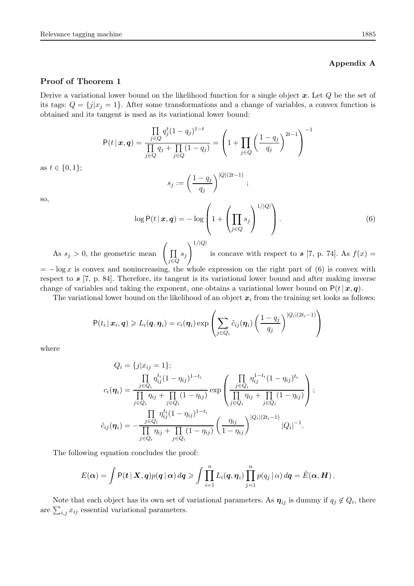#### Appendix A

#### Proof of Theorem 1

Derive a variational lower bound on the likelihood function for a single object  $x$ . Let  $Q$  be the set of its tags:  $Q = \{j|x_j = 1\}$ . After some transformations and a change of variables, a convex function is obtained and its tangent is used as its variational lower bound:

$$
\mathsf{P}(t \mid \mathbf{x}, \mathbf{q}) = \frac{\prod_{j \in Q} q_j^t (1 - q_j)^{1 - t}}{\prod_{j \in Q} q_j + \prod_{j \in Q} (1 - q_j)} = \left( 1 + \prod_{j \in Q} \left( \frac{1 - q_j}{q_j} \right)^{2t - 1} \right)^{-1}
$$

$$
s_j := \left( \frac{1 - q_j}{q} \right)^{|Q|(2t - 1)},
$$

 $q_j$ 

so,

as  $t \in \{0, 1\};$ 

$$
\log P(t \mid \boldsymbol{x}, \boldsymbol{q}) = -\log \left( 1 + \left( \prod_{j \in Q} s_j \right)^{1/|Q|} \right). \tag{6}
$$

As  $s_j > 0$ , the geometric mean  $\prod$ j∈Q  $s_j$  $\setminus 1/|Q|$ is concave with respect to  $s$  [7, p. 74]. As  $f(x) =$ 

 $= -\log x$  is convex and nonincreasing, the whole expression on the right part of (6) is convex with respect to  $s$  [7, p. 84]. Therefore, its tangent is its variational lower bound and after making inverse change of variables and taking the exponent, one obtains a variational lower bound on  $P(t|x, q)$ .

The variational lower bound on the likelihood of an object  $x_i$  from the training set looks as follows:

$$
P(t_i | \mathbf{x}_i, \mathbf{q}) \geq L_i(\mathbf{q}, \eta_i) = c_i(\eta_i) \exp \left( \sum_{j \in Q_i} \tilde{c}_{ij}(\eta_i) \left( \frac{1 - q_j}{q_j} \right)^{|Q_i|(2t_i - 1)} \right)
$$

where

$$
Q_i = \{j | x_{ij} = 1\};
$$
  
\n
$$
c_i(\eta_i) = \frac{\prod_{j \in Q_i} \eta_{ij}^{t_i} (1 - \eta_{ij})^{1 - t_i}}{\prod_{j \in Q_i} \eta_{ij} + \prod_{j \in Q_i} (1 - \eta_{ij})} \exp\left(\frac{\prod_{j \in Q_i} \eta_{ij}^{1 - t_i} (1 - \eta_{ij})^{t_i}}{\prod_{j \in Q_i} \eta_{ij} + \prod_{j \in Q_i} (1 - \eta_{ij})}\right);
$$
  
\n
$$
\tilde{c}_{ij}(\eta_i) = -\frac{\prod_{j \in Q_i} \eta_{ij}^{t_i} (1 - \eta_{ij})^{1 - t_i}}{\prod_{j \in Q_i} \eta_{ij} + \prod_{j \in Q_i} (1 - \eta_{ij})} \left(\frac{\eta_{ij}}{1 - \eta_{ij}}\right)^{|Q_i|(2t_i - 1)} |Q_i|^{-1}.
$$

The following equation concludes the proof:

$$
E(\boldsymbol{\alpha}) = \int P(t | \boldsymbol{X}, \boldsymbol{q}) p(\boldsymbol{q} | \boldsymbol{\alpha}) d\boldsymbol{q} \geq \int \prod_{i=1}^n L_i(\boldsymbol{q}, \boldsymbol{\eta}_i) \prod_{j=1}^n p(q_j | \boldsymbol{\alpha}) d\boldsymbol{q} = \tilde{E}(\boldsymbol{\alpha}, \boldsymbol{H}).
$$

Note that each object has its own set of variational parameters. As  $\eta_{ij}$  is dummy if  $q_j \notin Q_i$ , there are  $\sum_{i,j} x_{ij}$  essential variational parameters.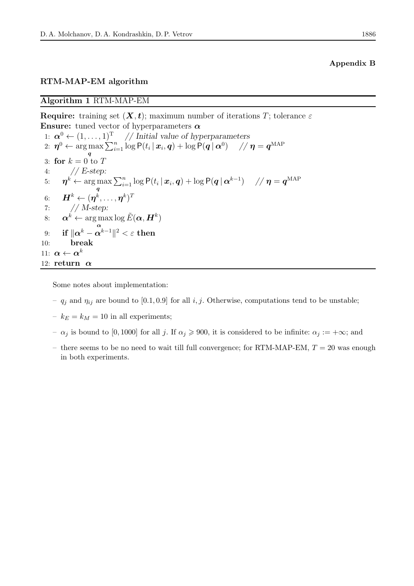#### RTM-MAP-EM algorithm

Algorithm 1 RTM-MAP-EM

Require: training set  $(X, t)$ ; maximum number of iterations T; tolerance  $\varepsilon$ **Ensure:** tuned vector of hyperparameters  $\alpha$ 1:  $\alpha^0 \leftarrow (1, \ldots, 1)^T$  // Initial value of hyperparameters  $\alpha_2\colon\thinspace\bm{\eta}^0\leftarrow\argmax\sum_{i=1}^n\log\mathsf{P}(t_i\,|\,\bm{x}_i,\bm{q})+\log\mathsf{P}(\bm{q}\,|\,\bm{\alpha}^0)\quad\not\quad\bm{\eta}=\bm{q}^{\text{MAP}}$ q 3: for  $k = 0$  to T 4: *// E-step:* 5:  $\boldsymbol{\eta}^k \leftarrow \argmax$ q  $\sum_{i=1}^n \log \mathsf{P}(t_i \,|\, \boldsymbol{x}_i, \boldsymbol{q}) + \log \mathsf{P}(\boldsymbol{q} \,|\, \boldsymbol{\alpha}^{k-1}) \quad \; \mathbin{/} \boldsymbol{\eta} = \boldsymbol{q}^{\text{MAP}}$ 6:  $\bm{H}^k \leftarrow (\bm{\eta}^k, \dots, \bm{\eta}^k)^T$ 7: *// M-step:* 8:  $\boldsymbol{\alpha}^k \leftarrow \arg \max$ α  $\log \tilde{E}(\bm{\alpha},\bm{H}^k)$  $9\text{:} \quad\text{ if }\|\boldsymbol{\alpha}^k-\boldsymbol{\alpha}^{k-1}\|^2<\varepsilon \text{ then}$ 10: break 11:  $\boldsymbol{\alpha} \leftarrow \boldsymbol{\alpha}^k$ 12: return  $\alpha$ 

Some notes about implementation:

- $q_i$  and  $\eta_{ij}$  are bound to [0.1, 0.9] for all i, j. Otherwise, computations tend to be unstable;
- $k_E = k_M = 10$  in all experiments;
- $\alpha_j$  is bound to [0, 1000] for all j. If  $\alpha_j \ge 900$ , it is considered to be infinite:  $\alpha_j := +\infty$ ; and
- there seems to be no need to wait till full convergence; for RTM-MAP-EM,  $T = 20$  was enough in both experiments.

#### Appendix B